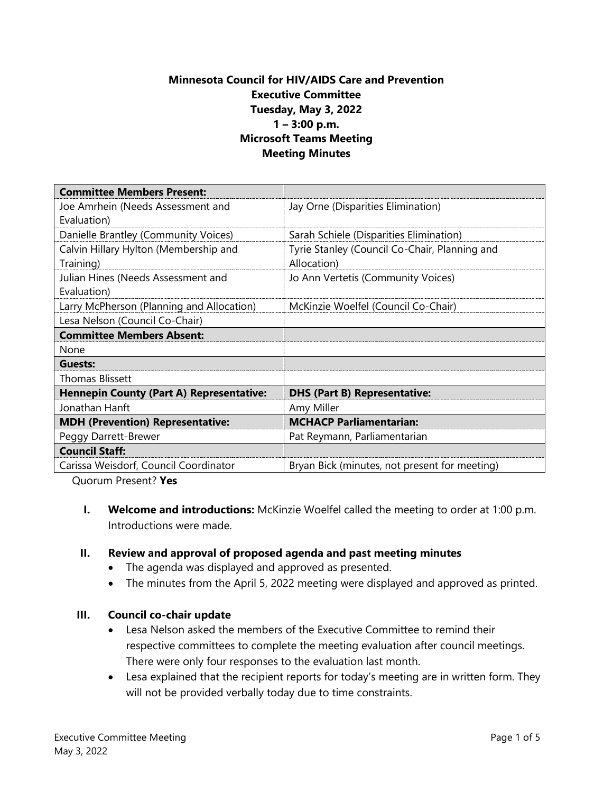## **Minnesota Council for HIV/AIDS Care and Prevention Executive Committee Tuesday, May 3, 2022 1 – 3:00 p.m. Microsoft Teams Meeting Meeting Minutes**

| <b>Committee Members Present:</b>               |                                               |
|-------------------------------------------------|-----------------------------------------------|
| Joe Amrhein (Needs Assessment and               | Jay Orne (Disparities Elimination)            |
| Evaluation)                                     |                                               |
| Danielle Brantley (Community Voices)            | Sarah Schiele (Disparities Elimination)       |
| Calvin Hillary Hylton (Membership and           | Tyrie Stanley (Council Co-Chair, Planning and |
| Training)                                       | Allocation)                                   |
| Julian Hines (Needs Assessment and              | Jo Ann Vertetis (Community Voices)            |
| Evaluation)                                     |                                               |
| Larry McPherson (Planning and Allocation)       | McKinzie Woelfel (Council Co-Chair)           |
| Lesa Nelson (Council Co-Chair)                  |                                               |
| <b>Committee Members Absent:</b>                |                                               |
| None                                            |                                               |
| Guests:                                         |                                               |
| <b>Thomas Blissett</b>                          |                                               |
| <b>Hennepin County (Part A) Representative:</b> | <b>DHS (Part B) Representative:</b>           |
| Jonathan Hanft                                  | Amy Miller                                    |
| <b>MDH (Prevention) Representative:</b>         | <b>MCHACP Parliamentarian:</b>                |
| Peggy Darrett-Brewer                            | Pat Reymann, Parliamentarian                  |
| <b>Council Staff:</b>                           |                                               |
| Carissa Weisdorf, Council Coordinator           | Bryan Bick (minutes, not present for meeting) |

Quorum Present? **Yes**

**I. Welcome and introductions:** McKinzie Woelfel called the meeting to order at 1:00 p.m. Introductions were made.

#### **II. Review and approval of proposed agenda and past meeting minutes**

- The agenda was displayed and approved as presented.
- The minutes from the April 5, 2022 meeting were displayed and approved as printed.

#### **III. Council co-chair update**

- Lesa Nelson asked the members of the Executive Committee to remind their respective committees to complete the meeting evaluation after council meetings. There were only four responses to the evaluation last month.
- Lesa explained that the recipient reports for today's meeting are in written form. They will not be provided verbally today due to time constraints.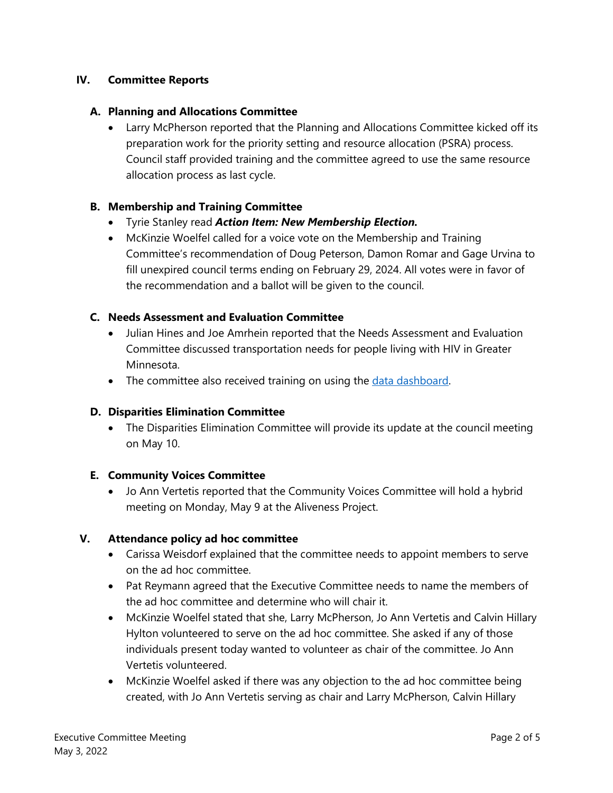## **IV. Committee Reports**

### **A. Planning and Allocations Committee**

• Larry McPherson reported that the Planning and Allocations Committee kicked off its preparation work for the priority setting and resource allocation (PSRA) process. Council staff provided training and the committee agreed to use the same resource allocation process as last cycle.

#### **B. Membership and Training Committee**

- Tyrie Stanley read *Action Item: New Membership Election.*
- McKinzie Woelfel called for a voice vote on the Membership and Training Committee's recommendation of Doug Peterson, Damon Romar and Gage Urvina to fill unexpired council terms ending on February 29, 2024. All votes were in favor of the recommendation and a ballot will be given to the council.

#### **C. Needs Assessment and Evaluation Committee**

- Julian Hines and Joe Amrhein reported that the Needs Assessment and Evaluation Committee discussed transportation needs for people living with HIV in Greater Minnesota.
- The committee also received training on using the [data dashboard.](https://app.powerbigov.us/view?r=eyJrIjoiMmE0ZDA1MGMtNGQ0Ni00NmU1LTliN2UtM2E5Njk3NDQzYzZkIiwidCI6IjhhZWZkZjlmLTg3ODAtNDZiZi04ZmI3LTRjOTI0NjUzYThiZSJ9)

#### **D. Disparities Elimination Committee**

• The Disparities Elimination Committee will provide its update at the council meeting on May 10.

#### **E. Community Voices Committee**

• Jo Ann Vertetis reported that the Community Voices Committee will hold a hybrid meeting on Monday, May 9 at the Aliveness Project.

#### **V. Attendance policy ad hoc committee**

- Carissa Weisdorf explained that the committee needs to appoint members to serve on the ad hoc committee.
- Pat Reymann agreed that the Executive Committee needs to name the members of the ad hoc committee and determine who will chair it.
- McKinzie Woelfel stated that she, Larry McPherson, Jo Ann Vertetis and Calvin Hillary Hylton volunteered to serve on the ad hoc committee. She asked if any of those individuals present today wanted to volunteer as chair of the committee. Jo Ann Vertetis volunteered.
- McKinzie Woelfel asked if there was any objection to the ad hoc committee being created, with Jo Ann Vertetis serving as chair and Larry McPherson, Calvin Hillary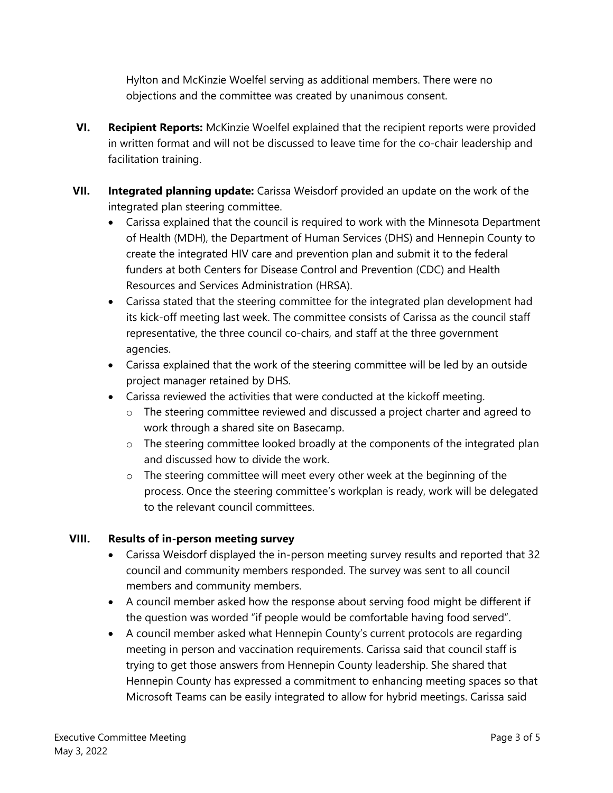Hylton and McKinzie Woelfel serving as additional members. There were no objections and the committee was created by unanimous consent.

- **VI. Recipient Reports:** McKinzie Woelfel explained that the recipient reports were provided in written format and will not be discussed to leave time for the co-chair leadership and facilitation training.
- **VII. Integrated planning update:** Carissa Weisdorf provided an update on the work of the integrated plan steering committee.
	- Carissa explained that the council is required to work with the Minnesota Department of Health (MDH), the Department of Human Services (DHS) and Hennepin County to create the integrated HIV care and prevention plan and submit it to the federal funders at both Centers for Disease Control and Prevention (CDC) and Health Resources and Services Administration (HRSA).
	- Carissa stated that the steering committee for the integrated plan development had its kick-off meeting last week. The committee consists of Carissa as the council staff representative, the three council co-chairs, and staff at the three government agencies.
	- Carissa explained that the work of the steering committee will be led by an outside project manager retained by DHS.
	- Carissa reviewed the activities that were conducted at the kickoff meeting.
		- o The steering committee reviewed and discussed a project charter and agreed to work through a shared site on Basecamp.
		- o The steering committee looked broadly at the components of the integrated plan and discussed how to divide the work.
		- o The steering committee will meet every other week at the beginning of the process. Once the steering committee's workplan is ready, work will be delegated to the relevant council committees.

## **VIII. Results of in-person meeting survey**

- Carissa Weisdorf displayed the in-person meeting survey results and reported that 32 council and community members responded. The survey was sent to all council members and community members.
- A council member asked how the response about serving food might be different if the question was worded "if people would be comfortable having food served".
- A council member asked what Hennepin County's current protocols are regarding meeting in person and vaccination requirements. Carissa said that council staff is trying to get those answers from Hennepin County leadership. She shared that Hennepin County has expressed a commitment to enhancing meeting spaces so that Microsoft Teams can be easily integrated to allow for hybrid meetings. Carissa said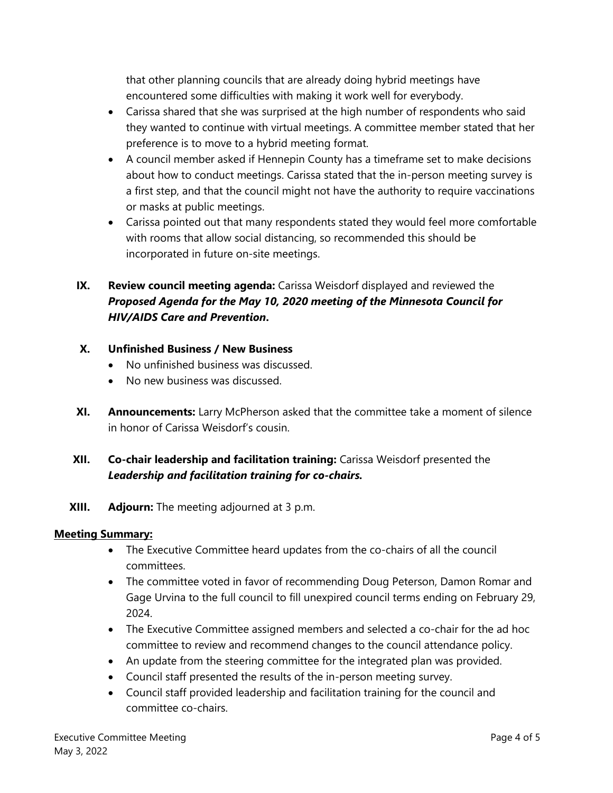that other planning councils that are already doing hybrid meetings have encountered some difficulties with making it work well for everybody.

- Carissa shared that she was surprised at the high number of respondents who said they wanted to continue with virtual meetings. A committee member stated that her preference is to move to a hybrid meeting format.
- A council member asked if Hennepin County has a timeframe set to make decisions about how to conduct meetings. Carissa stated that the in-person meeting survey is a first step, and that the council might not have the authority to require vaccinations or masks at public meetings.
- Carissa pointed out that many respondents stated they would feel more comfortable with rooms that allow social distancing, so recommended this should be incorporated in future on-site meetings.

# **IX. Review council meeting agenda:** Carissa Weisdorf displayed and reviewed the *Proposed Agenda for the May 10, 2020 meeting of the Minnesota Council for HIV/AIDS Care and Prevention***.**

#### **X. Unfinished Business / New Business**

- No unfinished business was discussed.
- No new business was discussed.
- **XI. Announcements:** Larry McPherson asked that the committee take a moment of silence in honor of Carissa Weisdorf's cousin.

## **XII. Co-chair leadership and facilitation training:** Carissa Weisdorf presented the *Leadership and facilitation training for co-chairs.*

**XIII. Adjourn:** The meeting adjourned at 3 p.m.

#### **Meeting Summary:**

- The Executive Committee heard updates from the co-chairs of all the council committees.
- The committee voted in favor of recommending Doug Peterson, Damon Romar and Gage Urvina to the full council to fill unexpired council terms ending on February 29, 2024.
- The Executive Committee assigned members and selected a co-chair for the ad hoc committee to review and recommend changes to the council attendance policy.
- An update from the steering committee for the integrated plan was provided.
- Council staff presented the results of the in-person meeting survey.
- Council staff provided leadership and facilitation training for the council and committee co-chairs.